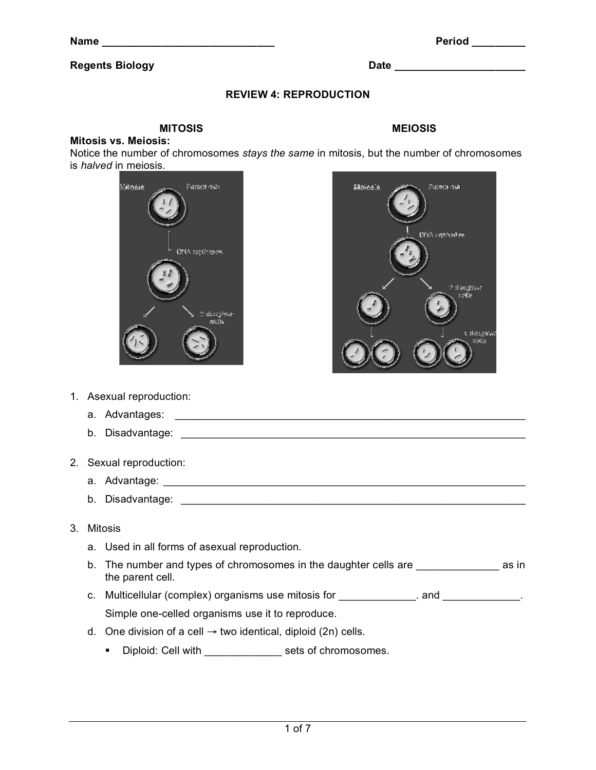**Name** Period

#### **Regents Biology Date 20 and 20 and 20 and 20 and 20 and 20 and 20 and 20 and 20 and 20 and 20 and 20 and 20 and 20 and 20 and 20 and 20 and 20 and 20 and 20 and 20 and 20 and 20 and 20 and 20 and 20 and 20 and 20 and 20**

## **REVIEW 4: REPRODUCTION**

## **MITOSIS MEIOSIS**

#### **Mitosis vs. Meiosis:**

Notice the number of chromosomes *stays the same* in mitosis, but the number of chromosomes is *halved* in meiosis.

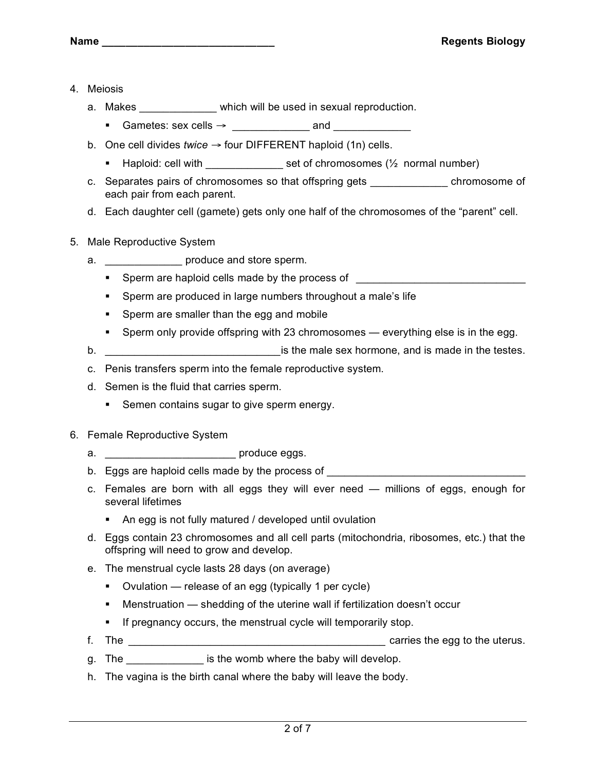- 4. Meiosis
	- a. Makes \_\_\_\_\_\_\_\_\_\_\_\_\_ which will be used in sexual reproduction.
		- Gametes: sex cells  $\rightarrow$  and  $\rightarrow$
	- b. One cell divides *twice* → four DIFFERENT haploid (1n) cells.
		- Haploid: cell with set of chromosomes (½ normal number)
	- c. Separates pairs of chromosomes so that offspring gets \_\_\_\_\_\_\_\_\_\_\_\_\_ chromosome of each pair from each parent.
	- d. Each daughter cell (gamete) gets only one half of the chromosomes of the "parent" cell.
- 5. Male Reproductive System
	- a. \_\_\_\_\_\_\_\_\_\_\_\_\_\_\_\_\_\_\_ produce and store sperm.
		- Sperm are haploid cells made by the process of **with a set of the set of the set of the set of the set of the set of the set of the set of the set of the set of the set of the set of the set of the set of the set of the**
		- Sperm are produced in large numbers throughout a male's life
		- **Sperm are smaller than the egg and mobile**
		- Sperm only provide offspring with 23 chromosomes everything else is in the egg.
	- b. \_\_\_\_\_\_\_\_\_\_\_\_\_\_\_\_\_\_\_\_\_\_\_\_\_\_\_\_\_\_is the male sex hormone, and is made in the testes.
	- c. Penis transfers sperm into the female reproductive system.
	- d. Semen is the fluid that carries sperm.
		- Semen contains sugar to give sperm energy.
- 6. Female Reproductive System
	- a. \_\_\_\_\_\_\_\_\_\_\_\_\_\_\_\_\_\_\_\_\_\_ produce eggs.
	- b. Eggs are haploid cells made by the process of
	- c. Females are born with all eggs they will ever need millions of eggs, enough for several lifetimes
		- An egg is not fully matured / developed until ovulation
	- d. Eggs contain 23 chromosomes and all cell parts (mitochondria, ribosomes, etc.) that the offspring will need to grow and develop.
	- e. The menstrual cycle lasts 28 days (on average)
		- Ovulation release of an egg (typically 1 per cycle)
		- Menstruation shedding of the uterine wall if fertilization doesn't occur
		- **If pregnancy occurs, the menstrual cycle will temporarily stop.**
	- f. The \_\_\_\_\_\_\_\_\_\_\_\_\_\_\_\_\_\_\_\_\_\_\_\_\_\_\_\_\_\_\_\_\_\_\_\_\_\_\_\_\_\_\_\_ carries the egg to the uterus.
	- g. The same is the womb where the baby will develop.
	- h. The vagina is the birth canal where the baby will leave the body.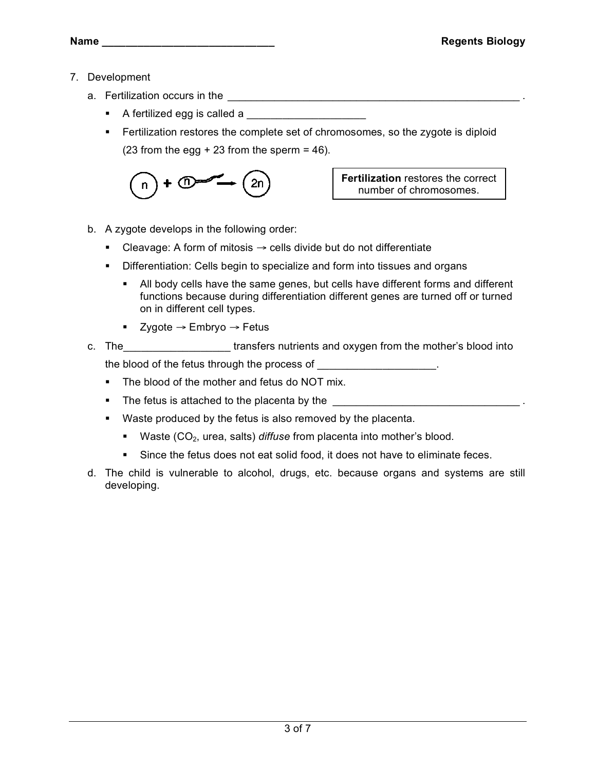- 7. Development
	- a. Fertilization occurs in the \_\_\_\_\_\_\_\_\_\_\_\_\_\_\_\_\_\_\_\_\_\_\_\_\_\_\_\_\_\_\_\_\_\_\_\_\_\_\_\_\_\_\_\_\_\_\_\_\_\_ .
		- A fertilized egg is called a
		- **Fertilization restores the complete set of chromosomes, so the zygote is diploid** (23 from the egg  $+23$  from the sperm = 46).



**Fertilization** restores the correct number of chromosomes.

- b. A zygote develops in the following order:
	- Cleavage: A form of mitosis  $\rightarrow$  cells divide but do not differentiate
	- **Differentiation: Cells begin to specialize and form into tissues and organs** 
		- All body cells have the same genes, but cells have different forms and different functions because during differentiation different genes are turned off or turned on in different cell types.
		- Zygote  $\rightarrow$  Embryo  $\rightarrow$  Fetus
- c. The transfers nutrients and oxygen from the mother's blood into the blood of the fetus through the process of
	- The blood of the mother and fetus do NOT mix.
	- The fetus is attached to the placenta by the  $\Box$
	- Waste produced by the fetus is also removed by the placenta.
		- **Waste (CO<sub>2</sub>, urea, salts)** *diffuse* from placenta into mother's blood.
		- Since the fetus does not eat solid food, it does not have to eliminate feces.
- d. The child is vulnerable to alcohol, drugs, etc. because organs and systems are still developing.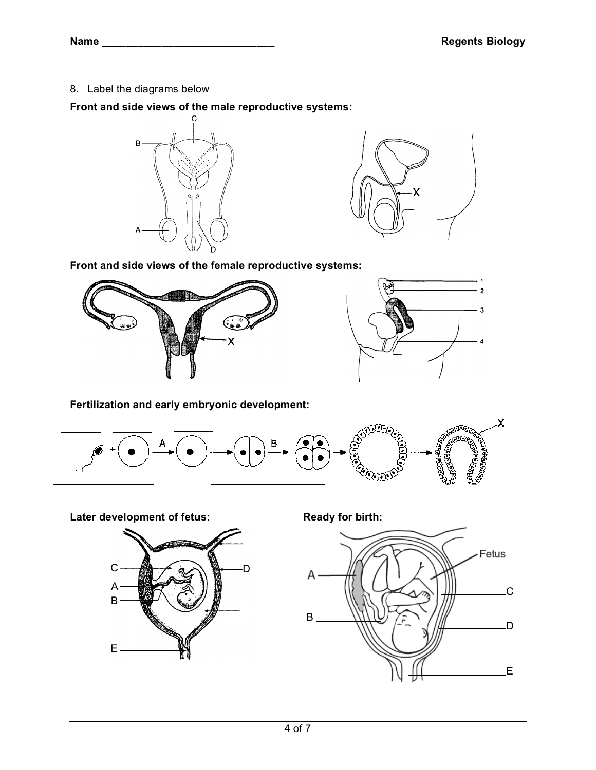8. Label the diagrams below

**Front and side views of the male reproductive systems:**





**Front and side views of the female reproductive systems:**





**Fertilization and early embryonic development:**



**Later** development of fetus: **Ready for birth:** 



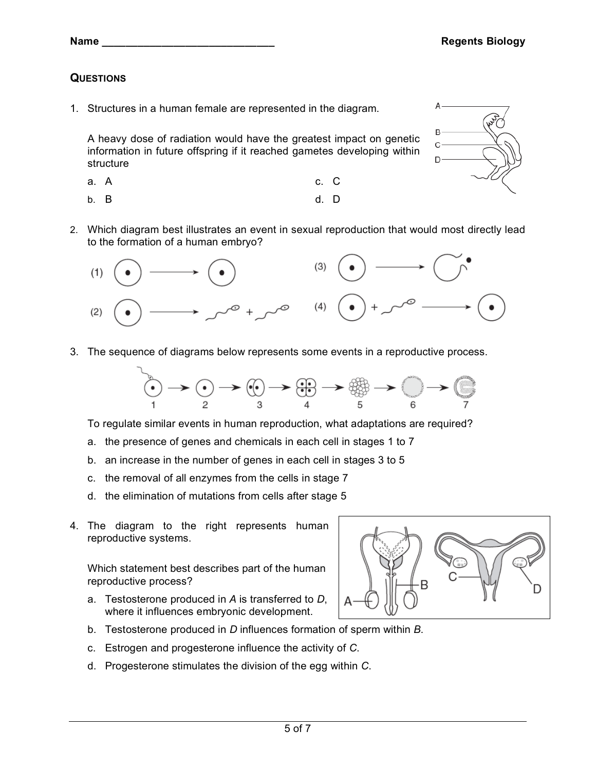**Name \_\_\_\_\_\_\_\_\_\_\_\_\_\_\_\_\_\_\_\_\_\_\_\_\_\_\_\_\_ Regents Biology**

# **QUESTIONS**

1. Structures in a human female are represented in the diagram.

A heavy dose of radiation would have the greatest impact on genetic information in future offspring if it reached gametes developing within structure

- a. A c. C
- b. B d. D
- 2. Which diagram best illustrates an event in sexual reproduction that would most directly lead to the formation of a human embryo?



3. The sequence of diagrams below represents some events in a reproductive process.



To regulate similar events in human reproduction, what adaptations are required?

- a. the presence of genes and chemicals in each cell in stages 1 to 7
- b. an increase in the number of genes in each cell in stages 3 to 5
- c. the removal of all enzymes from the cells in stage 7
- d. the elimination of mutations from cells after stage 5
- 4. The diagram to the right represents human reproductive systems.

Which statement best describes part of the human reproductive process?

- a. Testosterone produced in *A* is transferred to *D*, where it influences embryonic development.
- b. Testosterone produced in *D* influences formation of sperm within *B*.
- c. Estrogen and progesterone influence the activity of *C*.
- d. Progesterone stimulates the division of the egg within *C*.



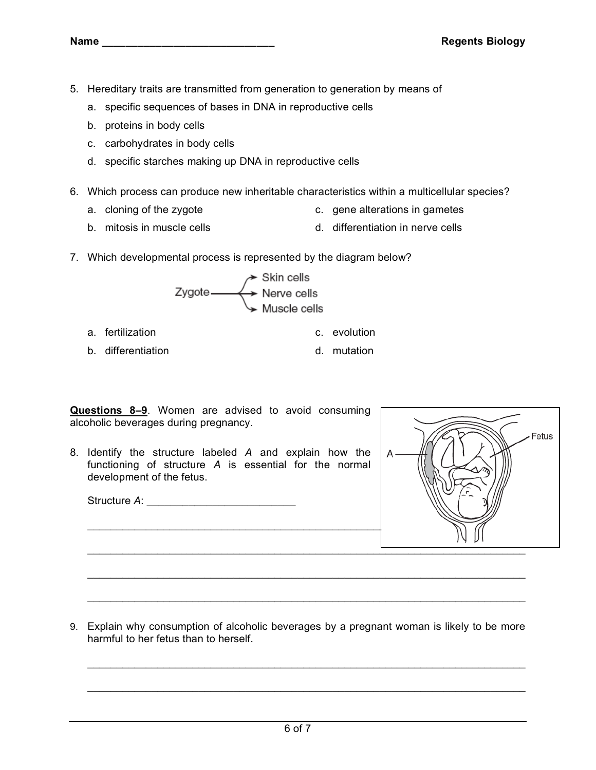- 5. Hereditary traits are transmitted from generation to generation by means of
	- a. specific sequences of bases in DNA in reproductive cells
	- b. proteins in body cells
	- c. carbohydrates in body cells
	- d. specific starches making up DNA in reproductive cells
- 6. Which process can produce new inheritable characteristics within a multicellular species?
	- a. cloning of the zygote c. gene alterations in gametes
	- b. mitosis in muscle cells d. differentiation in nerve cells
- 7. Which developmental process is represented by the diagram below?



- a. fertilization c. evolution
- b. differentiation b. community and the d. mutation

**Questions 8–9**. Women are advised to avoid consuming alcoholic beverages during pregnancy.

8. Identify the structure labeled *A* and explain how the functioning of structure *A* is essential for the normal development of the fetus.

Structure *A*: \_\_\_\_\_\_\_\_\_\_\_\_\_\_\_\_\_\_\_\_\_\_\_\_\_



9. Explain why consumption of alcoholic beverages by a pregnant woman is likely to be more harmful to her fetus than to herself.

\_\_\_\_\_\_\_\_\_\_\_\_\_\_\_\_\_\_\_\_\_\_\_\_\_\_\_\_\_\_\_\_\_\_\_\_\_\_\_\_\_\_\_\_\_\_\_\_\_\_\_\_\_\_\_\_\_\_\_\_\_\_\_\_\_\_\_\_\_\_\_\_\_\_\_

\_\_\_\_\_\_\_\_\_\_\_\_\_\_\_\_\_\_\_\_\_\_\_\_\_\_\_\_\_\_\_\_\_\_\_\_\_\_\_\_\_\_\_\_\_\_\_\_\_\_\_\_\_\_\_\_\_\_\_\_\_\_\_\_\_\_\_\_\_\_\_\_\_\_\_

\_\_\_\_\_\_\_\_\_\_\_\_\_\_\_\_\_\_\_\_\_\_\_\_\_\_\_\_\_\_\_\_\_\_\_\_\_\_\_\_\_\_\_\_\_\_\_\_\_\_\_\_\_\_\_\_\_\_\_\_\_\_\_\_\_\_\_\_\_\_\_\_\_\_\_

\_\_\_\_\_\_\_\_\_\_\_\_\_\_\_\_\_\_\_\_\_\_\_\_\_\_\_\_\_\_\_\_\_\_\_\_\_\_\_\_\_\_\_\_\_\_\_\_\_\_\_\_\_\_\_\_\_\_\_\_\_\_\_\_\_\_\_\_\_\_\_\_\_\_\_